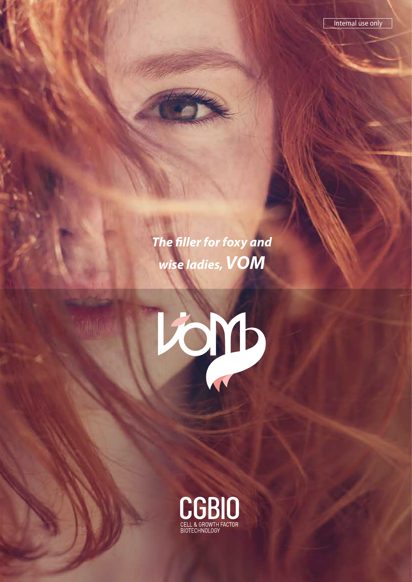*The filler for foxy and wise ladies, VOM*



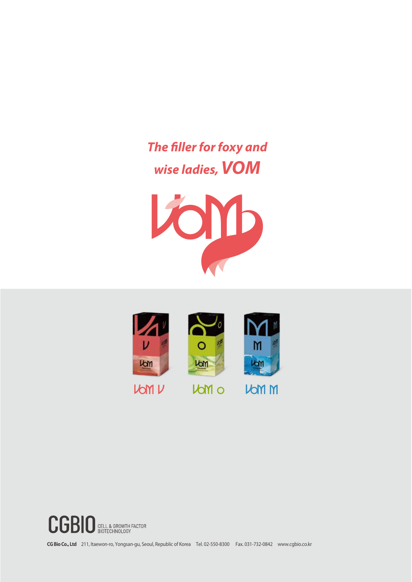*The filler for foxy and wise ladies, VOM*







**CG Bio Co., Ltd** 211, Itaewon-ro, Yongsan-gu, Seoul, Republic of Korea Tel. 02-550-8300 Fax. 031-732-0842 www.cgbio.co.kr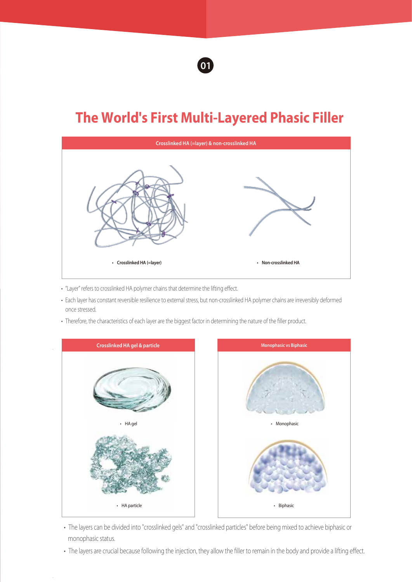

# **The World's First Multi-Layered Phasic Filler**



- "Layer" refers to crosslinked HA polymer chains that determine the lifting effect.
- Each layer has constant reversible resilience to external stress, but non-crosslinked HA polymer chains are irreversibly deformed once stressed.
- Therefore, the characteristics of each layer are the biggest factor in determining the nature of the filler product.



- The layers can be divided into "crosslinked gels" and "crosslinked particles" before being mixed to achieve biphasic or monophasic status.
- The layers are crucial because following the injection, they allow the filler to remain in the body and provide a lifting effect.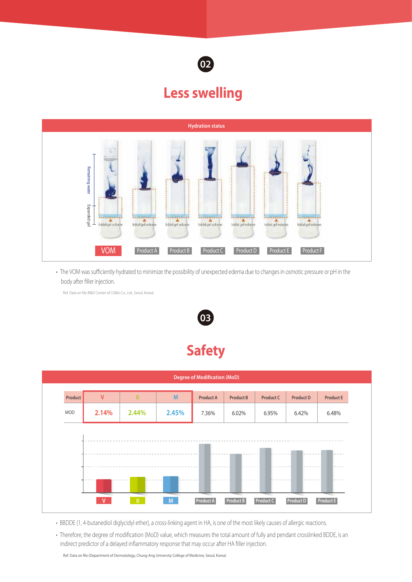

# **Less swelling**



• The VOM was sufficiently hydrated to minimize the possibility of unexpected edema due to changes in osmotic pressure or pH in the body after filler injection.

Ref. Data on file (R&D Center of CGBio Co., Ltd., Seoul, Korea)



# **Safety**



- BBDDE (1, 4-butanediol diglycidyl ether), a cross-linking agent in HA, is one of the most likely causes of allergic reactions.
- Therefore, the degree of modification (MoD) value, which measures the total amount of fully and pendant crosslinked BDDE, is an indirect predictor of a delayed inflammatory response that may occur after HA filler injection.

Ref. Data on file (Department of Dermatology, Chung-Ang University College of Medicine, Seoul, Korea)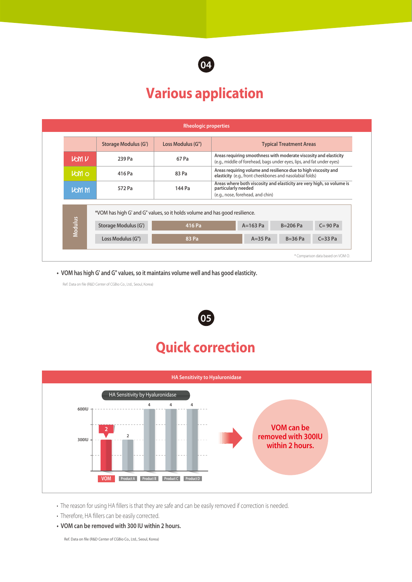

# **Various application**

|                |                                                                                                     | <b>Rheologic properties</b> |                                                                                                                                            |            |             |                                   |
|----------------|-----------------------------------------------------------------------------------------------------|-----------------------------|--------------------------------------------------------------------------------------------------------------------------------------------|------------|-------------|-----------------------------------|
|                | <b>Storage Modulus (G')</b>                                                                         | Loss Modulus (G")           | <b>Typical Treatment Areas</b>                                                                                                             |            |             |                                   |
| <b>VOM V</b>   | 239 Pa                                                                                              | 67 Pa                       | Areas requiring smoothness with moderate viscosity and elasticity<br>(e.g., middle of forehead, bags under eyes, lips, and fat under eyes) |            |             |                                   |
| <b>Volti</b> o | 416 Pa                                                                                              | 83 Pa                       | Areas requiring volume and resilience due to high viscosity and<br>elasticity (e.g., front cheekbones and nasolabial folds)                |            |             |                                   |
| <b>VOM M</b>   | 572 Pa                                                                                              | 144 Pa                      | Areas where both viscosity and elasticity are very high, so volume is<br>particularly needed<br>(e.g., nose, forehead, and chin)           |            |             |                                   |
| <b>Modulus</b> | *VOM has high G' and G" values, so it holds volume and has good resilience.<br>Storage Modulus (G') | 416 Pa                      |                                                                                                                                            | $A=163$ Pa | $B=206$ Pa  | $C = 90 Pa$                       |
|                | Loss Modulus (G")                                                                                   | 83 Pa                       |                                                                                                                                            | $A=35$ Pa  | $B = 36$ Pa | $C = 33$ Pa                       |
|                |                                                                                                     |                             |                                                                                                                                            |            |             | * Comparison data based on VOM O. |

**• VOM has high G' and G" values, so it maintains volume well and has good elasticity.**

Ref. Data on file (R&D Center of CGBio Co., Ltd., Seoul, Korea)

# **Quick correction 05**



• The reason for using HA fillers is that they are safe and can be easily removed if correction is needed.

• Therefore, HA fillers can be easily corrected.

**• VOM can be removed with 300 IU within 2 hours.**

Ref. Data on file (R&D Center of CGBio Co., Ltd., Seoul, Korea)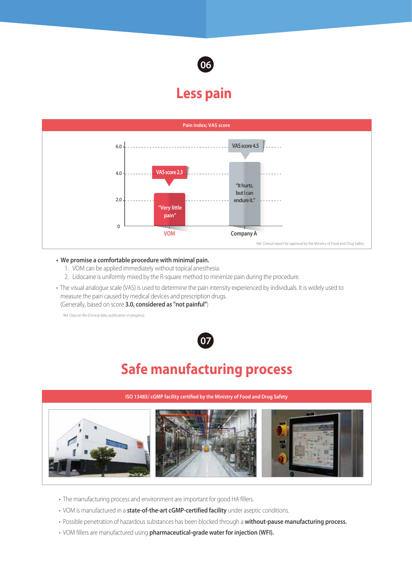

#### **Less pain**



#### **• We promise a comfortable procedure with minimal pain.**

- 1. VOM can be applied immediately without topical anesthesia.
- 2. Lidocaine is uniformly mixed by the R-square method to minimize pain during the procedure.
- The visual analogue scale (VAS) is used to determine the pain intensity experienced by individuals. It is widely used to measure the pain caused by medical devices and prescription drugs. (Generally, based on score **3.0, considered as "not painful"**)

Ref. Data on file (Clinical data, publication in progress)



# **Safe manufacturing process**



- The manufacturing process and environment are important for good HA fillers.
- VOM is manufactured in a **state-of-the-art cGMP-certified facility** under aseptic conditions.
- Possible penetration of hazardous substances has been blocked through a **without-pause manufacturing process.**
- VOM fillers are manufactured using **pharmaceutical-grade water for injection (WFI).**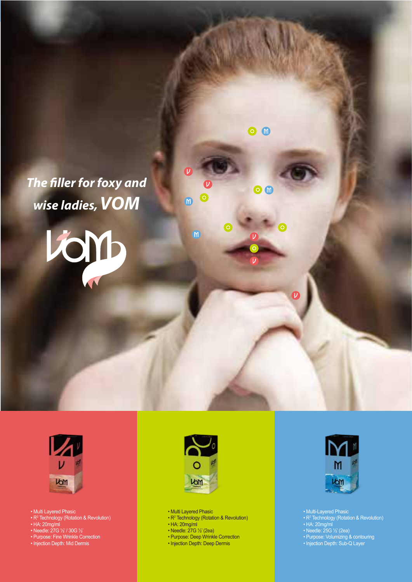*The filler for foxy and wise ladies, VOM*

lion



- Multi Layered Phasic
- R<sup>2</sup> Technology (Rotation & Revolution)
- HA: 20mg/ml
- Needle: 27G ½' / 30G ½'
- Purpose: Fine Wrinkle Correction
- Injection Depth: Mid Dermis



 $\overline{M}$ 

 $\binom{m}{k}$ 

 $\bullet$   $\bullet$ 

 $\bullet$ 

 $\boldsymbol{\nu}$ 

• Multi Layered Phasic

- R<sup>2</sup> Technology (Rotation & Revolution)
- HA: 20mg/ml
- Needle: 27G ½' (2ea)
- Purpose: Deep Wrinkle Correction
- Injection Depth: Deep Dermis



- Multi-Layered Phasic
- R<sup>2</sup> Technology (Rotation & Revolution)
- HA: 20mg/ml
- Needle: 25G ½' (2ea)
- Purpose: Volumizing & contouring
- Injection Depth: Sub-Q Layer